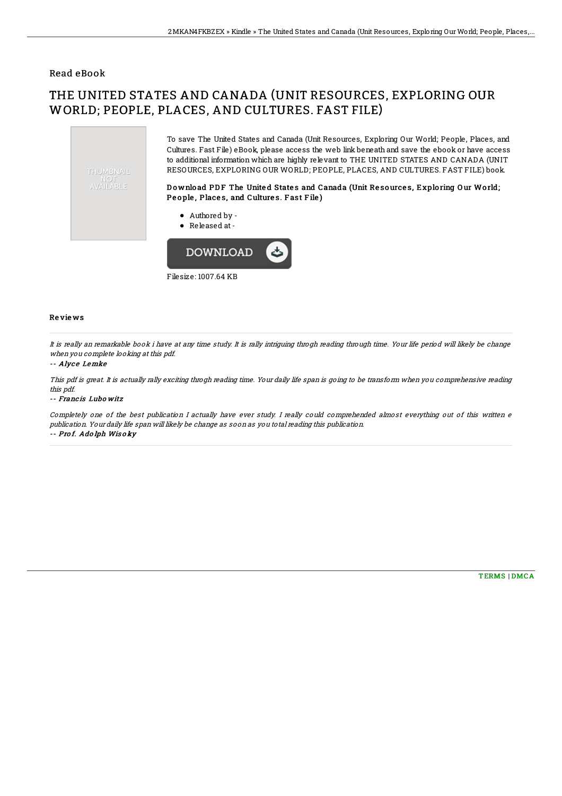### Read eBook

# THE UNITED STATES AND CANADA (UNIT RESOURCES, EXPLORING OUR WORLD; PEOPLE, PLACES, AND CULTURES. FAST FILE)



Filesize: 1007.64 KB

#### Re vie ws

It is really an remarkable book i have at any time study. It is rally intriguing throgh reading through time. Your life period will likely be change when you complete looking at this pdf.

#### -- Alyce Lemke

This pdf is great. It is actually rally exciting throgh reading time. Your daily life span is going to be transform when you comprehensive reading this pdf.

#### -- Franc is Lubo witz

Completely one of the best publication I actually have ever study. I really could comprehended almost everything out of this written <sup>e</sup> publication. Your daily life span will likely be change as soon as you total reading this publication. -- Pro f. Ado lph Wis <sup>o</sup> ky